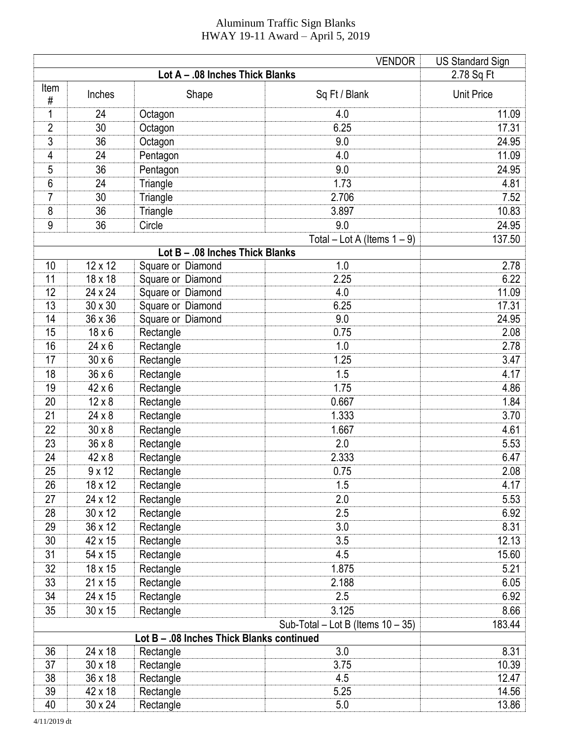## Aluminum Traffic Sign Blanks HWAY 19-11 Award – April 5, 2019

|                                                | <b>US Standard Sign</b> |                        |                                |                   |  |  |  |
|------------------------------------------------|-------------------------|------------------------|--------------------------------|-------------------|--|--|--|
|                                                | 2.78 Sq Ft              |                        |                                |                   |  |  |  |
| Item<br>$\#$                                   | Inches                  | Shape                  | Sq Ft / Blank                  | <b>Unit Price</b> |  |  |  |
| 1                                              | 24                      | Octagon                | 4.0                            | 11.09             |  |  |  |
| 2                                              | 30                      | Octagon                | 6.25                           | 17.31             |  |  |  |
| 3                                              | 36                      | Octagon                | 9.0                            | 24.95             |  |  |  |
| 4                                              | 24                      | Pentagon               | 4.0                            | 11.09             |  |  |  |
| 5                                              | 36                      | Pentagon               | 9.0                            | 24.95             |  |  |  |
| 6                                              | 24                      | Triangle               | 1.73                           | 4.81              |  |  |  |
| 7                                              | 30                      | Triangle               | 2.706                          | 7.52              |  |  |  |
| 8                                              | 36                      | Triangle               | 3.897                          | 10.83             |  |  |  |
| 9                                              | 36                      | Circle                 | 9.0                            | 24.95             |  |  |  |
|                                                |                         |                        | Total - Lot A (Items $1 - 9$ ) | 137.50            |  |  |  |
| Lot B - .08 Inches Thick Blanks                |                         |                        |                                |                   |  |  |  |
| 10                                             | 12 x 12                 | Square or Diamond      | 1.0                            | 2.78              |  |  |  |
| 11                                             | 18 x 18                 | Square or Diamond      | 2.25                           | 6.22              |  |  |  |
| 12                                             | 24 x 24                 | Square or Diamond      | 4.0                            | 11.09             |  |  |  |
| 13                                             | 30 x 30                 | Square or Diamond      | 6.25                           | 17.31             |  |  |  |
| 14                                             | 36 x 36                 | Square or Diamond      | 9.0                            | 24.95             |  |  |  |
| 15                                             | $18 \times 6$           | Rectangle              | 0.75                           | 2.08              |  |  |  |
| 16                                             | $24 \times 6$           | Rectangle              | 1.0                            | 2.78              |  |  |  |
| 17                                             | $30 \times 6$           | Rectangle              | 1.25                           | 3.47              |  |  |  |
| 18                                             | $36 \times 6$           | Rectangle              | 1.5                            | 4.17              |  |  |  |
| 19                                             | $42 \times 6$           | Rectangle              | 1.75                           | 4.86              |  |  |  |
| 20                                             | $12 \times 8$           | Rectangle              | 0.667                          | 1.84              |  |  |  |
| 21                                             | $24 \times 8$           | Rectangle              | 1.333                          | 3.70              |  |  |  |
| 22                                             | $30 \times 8$           | Rectangle              | 1.667                          | 4.61              |  |  |  |
| 23                                             | $36 \times 8$           | Rectangle              | 2.0                            | 5.53              |  |  |  |
| 24                                             | 42 x 8                  | Rectangle              | 2.333                          | 6.47              |  |  |  |
| 25                                             | $9 \times 12$           | Rectangle              | 0.75                           | 2.08              |  |  |  |
| 26                                             | 18 x 12                 | Rectangle              | 1.5                            | 4.17              |  |  |  |
| 27                                             | 24 x 12                 | Rectangle              | 2.0                            | 5.53              |  |  |  |
| 28                                             | 30 x 12                 | Rectangle              | 2.5                            | 6.92              |  |  |  |
| 29                                             | 36 x 12                 | Rectangle              | 3.0                            | 8.31              |  |  |  |
| 30                                             | 42 x 15                 | Rectangle              | 3.5                            | 12.13             |  |  |  |
| 31                                             | 54 x 15                 | Rectangle              | 4.5                            | 15.60             |  |  |  |
| 32                                             | 18 x 15                 | Rectangle              | 1.875                          | 5.21              |  |  |  |
| 33                                             | 21 x 15                 | Rectangle              | 2.188                          | 6.05              |  |  |  |
| 34                                             | 24 x 15                 | Rectangle              | 2.5                            | 6.92              |  |  |  |
| 35                                             | 30 x 15                 | Rectangle              | 3.125                          | 8.66              |  |  |  |
| 183.44<br>Sub-Total - Lot B (Items $10 - 35$ ) |                         |                        |                                |                   |  |  |  |
| Lot B - .08 Inches Thick Blanks continued      |                         |                        |                                |                   |  |  |  |
| 36                                             | 24 x 18                 | Rectangle              | 3.0                            | 8.31              |  |  |  |
| 37                                             | 30 x 18                 | Rectangle              | 3.75                           | 10.39             |  |  |  |
| 38<br>39                                       | 36 x 18<br>42 x 18      | Rectangle              | 4.5<br>5.25                    | 12.47<br>14.56    |  |  |  |
| 40                                             | 30 x 24                 | Rectangle<br>Rectangle | 5.0                            | 13.86             |  |  |  |
|                                                |                         |                        |                                |                   |  |  |  |